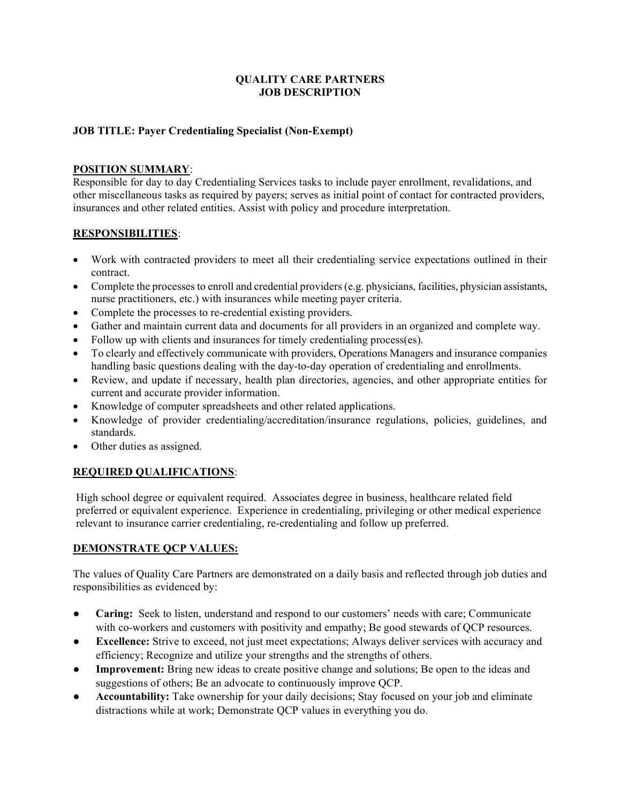### QUALITY CARE PARTNERS JOB DESCRIPTION

### JOB TITLE: Payer Credentialing Specialist (Non-Exempt)

### POSITION SUMMARY:

Responsible for day to day Credentialing Services tasks to include payer enrollment, revalidations, and other miscellaneous tasks as required by payers; serves as initial point of contact for contracted providers, insurances and other related entities. Assist with policy and procedure interpretation.

### RESPONSIBILITIES:

- Work with contracted providers to meet all their credentialing service expectations outlined in their contract.
- Complete the processes to enroll and credential providers (e.g. physicians, facilities, physician assistants, nurse practitioners, etc.) with insurances while meeting payer criteria.
- Complete the processes to re-credential existing providers.
- Gather and maintain current data and documents for all providers in an organized and complete way.
- Follow up with clients and insurances for timely credentialing process(es).
- To clearly and effectively communicate with providers, Operations Managers and insurance companies handling basic questions dealing with the day-to-day operation of credentialing and enrollments.
- Review, and update if necessary, health plan directories, agencies, and other appropriate entities for current and accurate provider information.
- Knowledge of computer spreadsheets and other related applications.
- Knowledge of provider credentialing/accreditation/insurance regulations, policies, guidelines, and standards.
- Other duties as assigned.

## REQUIRED QUALIFICATIONS:

High school degree or equivalent required. Associates degree in business, healthcare related field preferred or equivalent experience. Experience in credentialing, privileging or other medical experience relevant to insurance carrier credentialing, re-credentialing and follow up preferred.

### DEMONSTRATE QCP VALUES:

The values of Quality Care Partners are demonstrated on a daily basis and reflected through job duties and responsibilities as evidenced by:

- Caring: Seek to listen, understand and respond to our customers' needs with care; Communicate with co-workers and customers with positivity and empathy; Be good stewards of QCP resources.
- Excellence: Strive to exceed, not just meet expectations; Always deliver services with accuracy and efficiency; Recognize and utilize your strengths and the strengths of others.
- Improvement: Bring new ideas to create positive change and solutions; Be open to the ideas and suggestions of others; Be an advocate to continuously improve QCP.
- Accountability: Take ownership for your daily decisions; Stay focused on your job and eliminate distractions while at work; Demonstrate QCP values in everything you do.